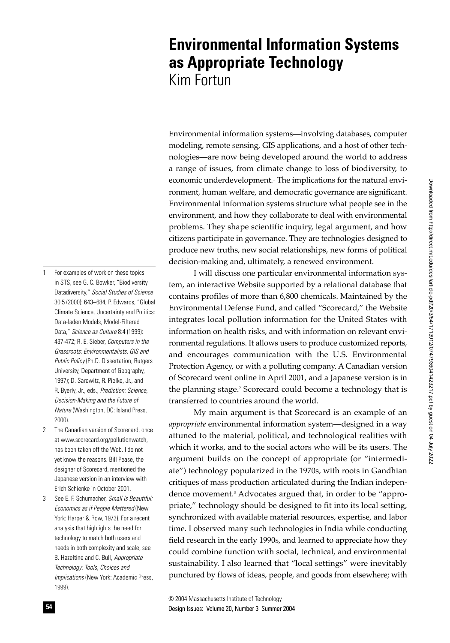# **Environmental Information Systems as Appropriate Technology** Kim Fortun

Environmental information systems—involving databases, computer modeling, remote sensing, GIS applications, and a host of other technologies—are now being developed around the world to address a range of issues, from climate change to loss of biodiversity, to economic underdevelopment.<sup>1</sup> The implications for the natural environment, human welfare, and democratic governance are significant. Environmental information systems structure what people see in the environment, and how they collaborate to deal with environmental problems. They shape scientific inquiry, legal argument, and how citizens participate in governance. They are technologies designed to produce new truths, new social relationships, new forms of political decision-making and, ultimately, a renewed environment.

I will discuss one particular environmental information system, an interactive Website supported by a relational database that contains profiles of more than 6,800 chemicals. Maintained by the Environmental Defense Fund, and called "Scorecard," the Website integrates local pollution information for the United States with information on health risks, and with information on relevant environmental regulations. It allows users to produce customized reports, and encourages communication with the U.S. Environmental Protection Agency, or with a polluting company. A Canadian version of Scorecard went online in April 2001, and a Japanese version is in the planning stage.2 Scorecard could become a technology that is transferred to countries around the world.

My main argument is that Scorecard is an example of an *appropriate* environmental information system—designed in a way attuned to the material, political, and technological realities with which it works, and to the social actors who will be its users. The argument builds on the concept of appropriate (or "intermediate") technology popularized in the 1970s, with roots in Gandhian critiques of mass production articulated during the Indian independence movement.3 Advocates argued that, in order to be "appropriate," technology should be designed to fit into its local setting, synchronized with available material resources, expertise, and labor time. I observed many such technologies in India while conducting field research in the early 1990s, and learned to appreciate how they could combine function with social, technical, and environmental sustainability. I also learned that "local settings" were inevitably punctured by flows of ideas, people, and goods from elsewhere; with

Design Issues: Volume 20, Number 3 Summer 2004 **54** © 2004 Massachusetts Institute of Technology

- 1 For examples of work on these topics in STS, see G. C. Bowker, "Biodiversity Datadiversity," *Social Studies of Science*  30:5 (2000): 643–684; P. Edwards, "Global Climate Science, Uncertainty and Politics: Data-laden Models, Model-Filtered Data," *Science as Culture* 8:4 (1999): 437-472; R. E. Sieber, *Computers in the Grassroots: Environmentalists, GIS and Public Policy* (Ph.D. Dissertation, Rutgers University, Department of Geography, 1997); D. Sarewitz, R. Pielke, Jr., and R. Byerly, Jr., eds., *Prediction: Science, Decision-Making and the Future of Nature* (Washington, DC: Island Press, 2000).
- 2 The Canadian version of Scorecard, once at www.scorecard.org/pollutionwatch, has been taken off the Web. I do not yet know the reasons. Bill Pease, the designer of Scorecard, mentioned the Japanese version in an interview with Erich Schienke in October 2001.
- 3 See E. F. Schumacher, *Small Is Beautiful: Economics as if People Mattered* (New York: Harper & Row, 1973). For a recent analysis that highlights the need for technology to match both users and needs in both complexity and scale, see B. Hazeltine and C. Bull, *Appropriate Technology: Tools, Choices and Implications* (New York: Academic Press, 1999).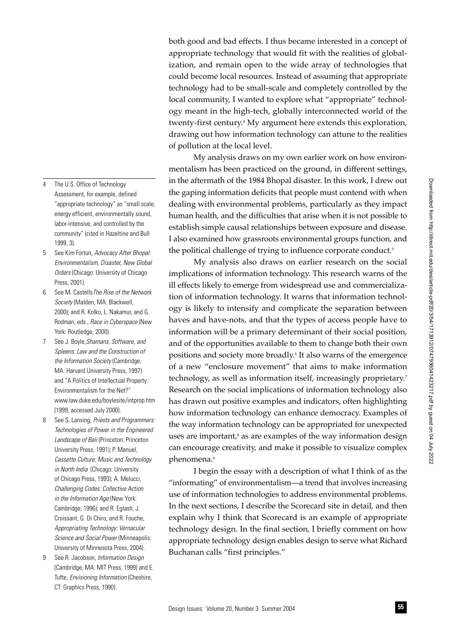both good and bad effects. I thus became interested in a concept of appropriate technology that would fit with the realities of globalization, and remain open to the wide array of technologies that could become local resources. Instead of assuming that appropriate technology had to be small-scale and completely controlled by the local community, I wanted to explore what "appropriate" technology meant in the high-tech, globally interconnected world of the twenty-first century.4 My argument here extends this exploration, drawing out how information technology can attune to the realities of pollution at the local level.

My analysis draws on my own earlier work on how environmentalism has been practiced on the ground, in different settings, in the aftermath of the 1984 Bhopal disaster. In this work, I drew out the gaping information deficits that people must contend with when dealing with environmental problems, particularly as they impact human health, and the difficulties that arise when it is not possible to establish simple causal relationships between exposure and disease. I also examined how grassroots environmental groups function, and the political challenge of trying to influence corporate conduct.<sup>5</sup>

My analysis also draws on earlier research on the social implications of information technology. This research warns of the ill effects likely to emerge from widespread use and commercialization of information technology. It warns that information technology is likely to intensify and complicate the separation between haves and have-nots, and that the types of access people have to information will be a primary determinant of their social position, and of the opportunities available to them to change both their own positions and society more broadly.6 It also warns of the emergence of a new "enclosure movement" that aims to make information technology, as well as information itself, increasingly proprietary.<sup>7</sup> Research on the social implications of information technology also has drawn out positive examples and indicators, often highlighting how information technology can enhance democracy. Examples of the way information technology can be appropriated for unexpected uses are important, $s$  as are examples of the way information design can encourage creativity, and make it possible to visualize complex phenomena.9

I begin the essay with a description of what I think of as the "informating" of environmentalism—a trend that involves increasing use of information technologies to address environmental problems. In the next sections, I describe the Scorecard site in detail, and then explain why I think that Scorecard is an example of appropriate technology design. In the final section, I briefly comment on how appropriate technology design enables design to serve what Richard Buchanan calls "first principles."

Assessment, for example, defined "appropriate technology" as "small scale, energy efficient, environmentally sound, labor-intensive, and controlled by the community" (cited in Hazeltine and Bull 1999, 3).

The U.S. Office of Technology

- 5 See Kim Fortun, *Advocacy After Bhopal: Environmentalism, Disaster, New Global Orders* (Chicago: University of Chicago Press, 2001).
- 6 See M. Castells*The Rise of the Network Society* (Malden, MA: Blackwell, 2000); and R. Kolko, L. Nakamur, and G. Rodman, eds., *Race in Cyberspace* (New York: Routledge, 2000).
- 7 See J. Boyle,*Shamans, Software, and Spleens: Law and the Construction of the Information Society* (Cambridge, MA: Harvard University Press, 1997) and "A Politics of Intellectual Property: Environmentalism for the Net?" www.law.duke.edu/boylesite/intprop.htm (1999, accessed July 2000).
- 8 See S. Lansing, *Priests and Programmers: Technologies of Power in the Engineered Landscape of Bali* (Princeton: Princeton University Press, 1991); P. Manuel, *Cassette Culture: Music and Technology in North India* (Chicago: University of Chicago Press, 1993); A. Melucci, *Challenging Codes: Collective Action in the Information Age* (New York: Cambridge, 1996); and R. Eglash, J. Croissant, G. Di Chiro, and R. Fouche, *Appropriating Technology: Vernacular Science and Social Power* (Minneapolis: University of Minnesota Press, 2004).
- 9 See R. Jacobson, *Information Design* (Cambridge, MA: MIT Press, 1999) and E. Tufte, *Envisioning Information* (Cheshire, CT: Graphics Press, 1990).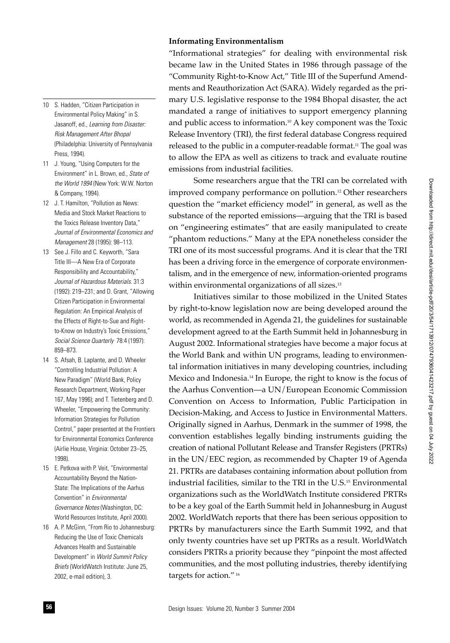# **Informating Environmentalism**

"Informational strategies" for dealing with environmental risk became law in the United States in 1986 through passage of the "Community Right-to-Know Act," Title III of the Superfund Amendments and Reauthorization Act (SARA). Widely regarded as the primary U.S. legislative response to the 1984 Bhopal disaster, the act mandated a range of initiatives to support emergency planning and public access to information.10 A key component was the Toxic Release Inventory (TRI), the first federal database Congress required released to the public in a computer-readable format.<sup>11</sup> The goal was to allow the EPA as well as citizens to track and evaluate routine emissions from industrial facilities.

Some researchers argue that the TRI can be correlated with improved company performance on pollution.12 Other researchers question the "market efficiency model" in general, as well as the substance of the reported emissions—arguing that the TRI is based on "engineering estimates" that are easily manipulated to create "phantom reductions." Many at the EPA nonetheless consider the TRI one of its most successful programs. And it is clear that the TRI has been a driving force in the emergence of corporate environmentalism, and in the emergence of new, information-oriented programs within environmental organizations of all sizes.<sup>13</sup>

Initiatives similar to those mobilized in the United States by right-to-know legislation now are being developed around the world, as recommended in Agenda 21, the guidelines for sustainable development agreed to at the Earth Summit held in Johannesburg in August 2002. Informational strategies have become a major focus at the World Bank and within UN programs, leading to environmental information initiatives in many developing countries, including Mexico and Indonesia.14 In Europe, the right to know is the focus of the Aarhus Convention—a UN/European Economic Commission Convention on Access to Information, Public Participation in Decision-Making, and Access to Justice in Environmental Matters. Originally signed in Aarhus, Denmark in the summer of 1998, the convention establishes legally binding instruments guiding the creation of national Pollutant Release and Transfer Registers (PRTRs) in the UN/EEC region, as recommended by Chapter 19 of Agenda 21. PRTRs are databases containing information about pollution from industrial facilities, similar to the TRI in the U.S.15 Environmental organizations such as the WorldWatch Institute considered PRTRs to be a key goal of the Earth Summit held in Johannesburg in August 2002. WorldWatch reports that there has been serious opposition to PRTRs by manufacturers since the Earth Summit 1992, and that only twenty countries have set up PRTRs as a result. WorldWatch considers PRTRs a priority because they "pinpoint the most affected communities, and the most polluting industries, thereby identifying targets for action." 16

- 10 S. Hadden, "Citizen Participation in Environmental Policy Making" in S. Jasanoff, ed., *Learning from Disaster: Risk Management After Bhopal* (Philadelphia: University of Pennsylvania Press, 1994).
- 11 J. Young, "Using Computers for the Environment" in L. Brown, ed., *State of the World 1994* (New York: W.W. Norton & Company, 1994).
- 12 J. T. Hamilton, "Pollution as News: Media and Stock Market Reactions to the Toxics Release Inventory Data," *Journal of Environmental Economics and Management* 28 (1995): 98–113.
- 13 See J. Fillo and C. Keyworth, "Sara Title III—A New Era of Corporate Responsibility and Accountability," *Journal of Hazardous Materials.* 31:3 (1992): 219–231; and D. Grant, "Allowing Citizen Participation in Environmental Regulation: An Empirical Analysis of the Effects of Right-to-Sue and Rightto-Know on Industry's Toxic Emissions," *Social Science Quarterly* 78:4 (1997): 859–873.
- 14 S. Afsah, B. Laplante, and D. Wheeler "Controlling Industrial Pollution: A New Paradigm" (World Bank, Policy Research Department, Working Paper 167, May 1996); and T. Tietenberg and D. Wheeler, "Empowering the Community: Information Strategies for Pollution Control," paper presented at the Frontiers for Environmental Economics Conference (Airlie House, Virginia: October 23–25, 1998).
- 15 E. Petkova with P. Veit, "Environmental Accountability Beyond the Nation-State: The Implications of the Aarhus Convention" in *Environmental Governance Notes* (Washington, DC: World Resources Institute, April 2000).
- 16 A. P. McGinn, "From Rio to Johannesburg: Reducing the Use of Toxic Chemicals Advances Health and Sustainable Development" in *World Summit Policy Briefs* (WorldWatch Institute: June 25, 2002, e-mail edition), 3.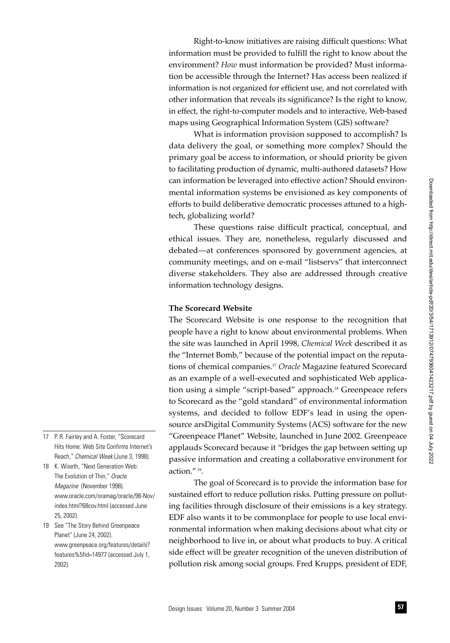Right-to-know initiatives are raising difficult questions: What information must be provided to fulfill the right to know about the environment? *How* must information be provided? Must information be accessible through the Internet? Has access been realized if information is not organized for efficient use, and not correlated with other information that reveals its significance? Is the right to know, in effect, the right-to-computer models and to interactive, Web-based maps using Geographical Information System (GIS) software?

What is information provision supposed to accomplish? Is data delivery the goal, or something more complex? Should the primary goal be access to information, or should priority be given to facilitating production of dynamic, multi-authored datasets? How can information be leveraged into effective action? Should environmental information systems be envisioned as key components of efforts to build deliberative democratic processes attuned to a hightech, globalizing world?

These questions raise difficult practical, conceptual, and ethical issues. They are, nonetheless, regularly discussed and debated—at conferences sponsored by government agencies, at community meetings, and on e-mail "listservs" that interconnect diverse stakeholders. They also are addressed through creative information technology designs.

#### **The Scorecard Website**

The Scorecard Website is one response to the recognition that people have a right to know about environmental problems. When the site was launched in April 1998, *Chemical Week* described it as the "Internet Bomb," because of the potential impact on the reputations of chemical companies.17 *Oracle* Magazine featured Scorecard as an example of a well-executed and sophisticated Web application using a simple "script-based" approach.<sup>18</sup> Greenpeace refers to Scorecard as the "gold standard" of environmental information systems, and decided to follow EDF's lead in using the opensource arsDigital Community Systems (ACS) software for the new "Greenpeace Planet" Website, launched in June 2002. Greenpeace applauds Scorecard because it "bridges the gap between setting up passive information and creating a collaborative environment for action." 19.

The goal of Scorecard is to provide the information base for sustained effort to reduce pollution risks. Putting pressure on polluting facilities through disclosure of their emissions is a key strategy. EDF also wants it to be commonplace for people to use local environmental information when making decisions about what city or neighborhood to live in, or about what products to buy. A critical side effect will be greater recognition of the uneven distribution of pollution risk among social groups. Fred Krupps, president of EDF,

- 17 P. R. Fairley and A. Foster, "Scorecard Hits Home: Web Site Confirms Internet's Reach," *Chemical Week* (June 3, 1998).
- 18 K. Wiseth, "Next Generation Web: The Evolution of Thin," *Oracle Magazine* (November 1998). www.oracle.com/oramag/oracle/98-Nov/ index.html?68cov.html (accessed June 25, 2002).
- 19 See "The Story Behind Greenpeace Planet" (June 24, 2002). www.greenpeace.org/features/details? features%5fid=14977 (accessed July 1, 2002).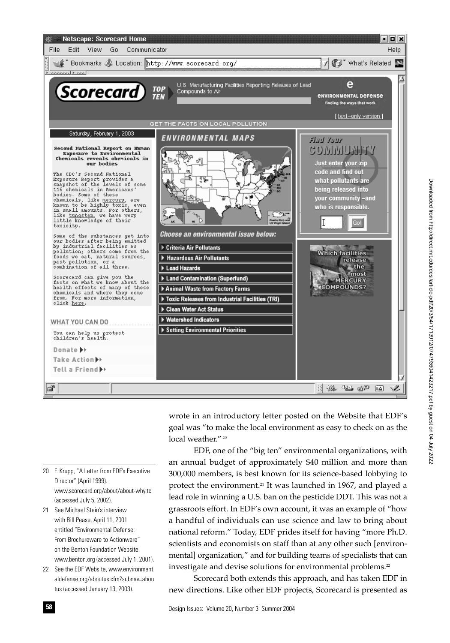

wrote in an introductory letter posted on the Website that EDF's goal was "to make the local environment as easy to check on as the local weather."<sup>20</sup>

EDF, one of the "big ten" environmental organizations, with an annual budget of approximately \$40 million and more than 300,000 members, is best known for its science-based lobbying to protect the environment.<sup>21</sup> It was launched in 1967, and played a lead role in winning a U.S. ban on the pesticide DDT. This was not a grassroots effort. In EDF's own account, it was an example of "how a handful of individuals can use science and law to bring about national reform." Today, EDF prides itself for having "more Ph.D. scientists and economists on staff than at any other such [environmental] organization," and for building teams of specialists that can investigate and devise solutions for environmental problems.<sup>22</sup>

Scorecard both extends this approach, and has taken EDF in new directions. Like other EDF projects, Scorecard is presented as

- 20 F. Krupp, "A Letter from EDF's Executive Director" (April 1999). www.scorecard.org/about/about-why.tcl (accessed July 5, 2002).
- 21 See Michael Stein's interview with Bill Pease, April 11, 2001 entitled "Environmental Defense: From Brochureware to Actionware" on the Benton Foundation Website. www.benton.org (accessed July 1, 2001).
- 22 See the EDF Website, www.environment aldefense.org/aboutus.cfm?subnav=abou tus (accessed January 13, 2003).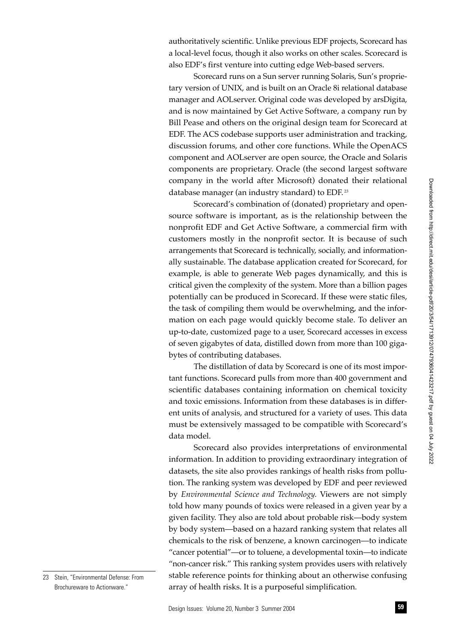authoritatively scientific. Unlike previous EDF projects, Scorecard has a local-level focus, though it also works on other scales. Scorecard is also EDF's first venture into cutting edge Web-based servers.

Scorecard runs on a Sun server running Solaris, Sun's proprietary version of UNIX, and is built on an Oracle 8i relational database manager and AOLserver. Original code was developed by arsDigita, and is now maintained by Get Active Software, a company run by Bill Pease and others on the original design team for Scorecard at EDF. The ACS codebase supports user administration and tracking, discussion forums, and other core functions. While the OpenACS component and AOLserver are open source, the Oracle and Solaris components are proprietary. Oracle (the second largest software company in the world after Microsoft) donated their relational database manager (an industry standard) to EDF.<sup>23</sup>

Scorecard's combination of (donated) proprietary and opensource software is important, as is the relationship between the nonprofit EDF and Get Active Software, a commercial firm with customers mostly in the nonprofit sector. It is because of such arrangements that Scorecard is technically, socially, and informationally sustainable. The database application created for Scorecard, for example, is able to generate Web pages dynamically, and this is critical given the complexity of the system. More than a billion pages potentially can be produced in Scorecard. If these were static files, the task of compiling them would be overwhelming, and the information on each page would quickly become stale. To deliver an up-to-date, customized page to a user, Scorecard accesses in excess of seven gigabytes of data, distilled down from more than 100 gigabytes of contributing databases.

The distillation of data by Scorecard is one of its most important functions. Scorecard pulls from more than 400 government and scientific databases containing information on chemical toxicity and toxic emissions. Information from these databases is in different units of analysis, and structured for a variety of uses. This data must be extensively massaged to be compatible with Scorecard's data model.

Scorecard also provides interpretations of environmental information. In addition to providing extraordinary integration of datasets, the site also provides rankings of health risks from pollution. The ranking system was developed by EDF and peer reviewed by *Environmental Science and Technology.* Viewers are not simply told how many pounds of toxics were released in a given year by a given facility. They also are told about probable risk—body system by body system—based on a hazard ranking system that relates all chemicals to the risk of benzene, a known carcinogen—to indicate "cancer potential"—or to toluene, a developmental toxin—to indicate "non-cancer risk." This ranking system provides users with relatively stable reference points for thinking about an otherwise confusing array of health risks. It is a purposeful simplification.

<sup>23</sup> Stein, "Environmental Defense: From Brochureware to Actionware."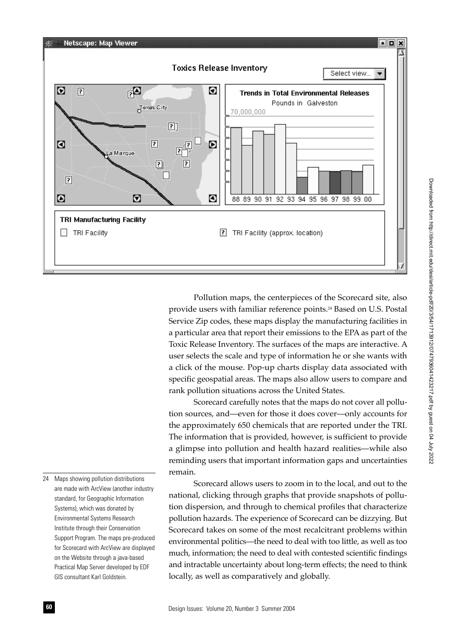

Pollution maps, the centerpieces of the Scorecard site, also provide users with familiar reference points.<sup>24</sup> Based on U.S. Postal Service Zip codes, these maps display the manufacturing facilities in a particular area that report their emissions to the EPA as part of the Toxic Release Inventory. The surfaces of the maps are interactive. A user selects the scale and type of information he or she wants with a click of the mouse. Pop-up charts display data associated with specific geospatial areas. The maps also allow users to compare and rank pollution situations across the United States.

Scorecard carefully notes that the maps do not cover all pollution sources, and—even for those it does cover—only accounts for the approximately 650 chemicals that are reported under the TRI. The information that is provided, however, is sufficient to provide a glimpse into pollution and health hazard realities—while also reminding users that important information gaps and uncertainties remain.

Scorecard allows users to zoom in to the local, and out to the national, clicking through graphs that provide snapshots of pollution dispersion, and through to chemical profiles that characterize pollution hazards. The experience of Scorecard can be dizzying. But Scorecard takes on some of the most recalcitrant problems within environmental politics—the need to deal with too little, as well as too much, information; the need to deal with contested scientific findings and intractable uncertainty about long-term effects; the need to think locally, as well as comparatively and globally.

24 Maps showing pollution distributions are made with ArcView (another industry standard, for Geographic Information Systems), which was donated by Environmental Systems Research Institute through their Conservation Support Program. The maps pre-produced for Scorecard with ArcView are displayed on the Website through a java-based Practical Map Server developed by EDF GIS consultant Karl Goldstein.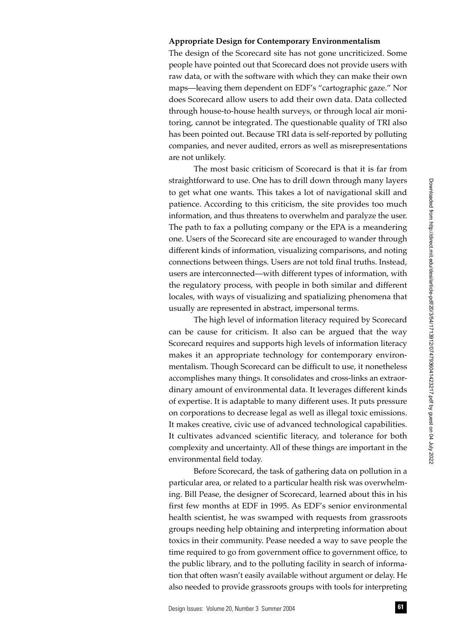## **Appropriate Design for Contemporary Environmentalism**

The design of the Scorecard site has not gone uncriticized. Some people have pointed out that Scorecard does not provide users with raw data, or with the software with which they can make their own maps—leaving them dependent on EDF's "cartographic gaze." Nor does Scorecard allow users to add their own data. Data collected through house-to-house health surveys, or through local air monitoring, cannot be integrated. The questionable quality of TRI also has been pointed out. Because TRI data is self-reported by polluting companies, and never audited, errors as well as misrepresentations are not unlikely.

The most basic criticism of Scorecard is that it is far from straightforward to use. One has to drill down through many layers to get what one wants. This takes a lot of navigational skill and patience. According to this criticism, the site provides too much information, and thus threatens to overwhelm and paralyze the user. The path to fax a polluting company or the EPA is a meandering one. Users of the Scorecard site are encouraged to wander through different kinds of information, visualizing comparisons, and noting connections between things. Users are not told final truths. Instead, users are interconnected—with different types of information, with the regulatory process, with people in both similar and different locales, with ways of visualizing and spatializing phenomena that usually are represented in abstract, impersonal terms.

The high level of information literacy required by Scorecard can be cause for criticism. It also can be argued that the way Scorecard requires and supports high levels of information literacy makes it an appropriate technology for contemporary environmentalism. Though Scorecard can be difficult to use, it nonetheless accomplishes many things. It consolidates and cross-links an extraordinary amount of environmental data. It leverages different kinds of expertise. It is adaptable to many different uses. It puts pressure on corporations to decrease legal as well as illegal toxic emissions. It makes creative, civic use of advanced technological capabilities. It cultivates advanced scientific literacy, and tolerance for both complexity and uncertainty. All of these things are important in the environmental field today.

Before Scorecard, the task of gathering data on pollution in a particular area, or related to a particular health risk was overwhelming. Bill Pease, the designer of Scorecard, learned about this in his first few months at EDF in 1995. As EDF's senior environmental health scientist, he was swamped with requests from grassroots groups needing help obtaining and interpreting information about toxics in their community. Pease needed a way to save people the time required to go from government office to government office, to the public library, and to the polluting facility in search of information that often wasn't easily available without argument or delay. He also needed to provide grassroots groups with tools for interpreting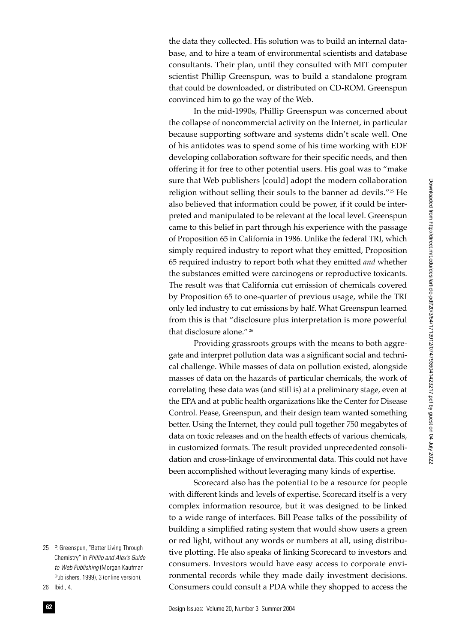the data they collected. His solution was to build an internal database, and to hire a team of environmental scientists and database consultants. Their plan, until they consulted with MIT computer scientist Phillip Greenspun, was to build a standalone program that could be downloaded, or distributed on CD-ROM. Greenspun convinced him to go the way of the Web.

In the mid-1990s, Phillip Greenspun was concerned about the collapse of noncommercial activity on the Internet, in particular because supporting software and systems didn't scale well. One of his antidotes was to spend some of his time working with EDF developing collaboration software for their specific needs, and then offering it for free to other potential users. His goal was to "make sure that Web publishers [could] adopt the modern collaboration religion without selling their souls to the banner ad devils."25 He also believed that information could be power, if it could be interpreted and manipulated to be relevant at the local level. Greenspun came to this belief in part through his experience with the passage of Proposition 65 in California in 1986. Unlike the federal TRI, which simply required industry to report what they emitted, Proposition 65 required industry to report both what they emitted *and* whether the substances emitted were carcinogens or reproductive toxicants. The result was that California cut emission of chemicals covered by Proposition 65 to one-quarter of previous usage, while the TRI only led industry to cut emissions by half. What Greenspun learned from this is that "disclosure plus interpretation is more powerful that disclosure alone." 26

Providing grassroots groups with the means to both aggregate and interpret pollution data was a significant social and technical challenge. While masses of data on pollution existed, alongside masses of data on the hazards of particular chemicals, the work of correlating these data was (and still is) at a preliminary stage, even at the EPA and at public health organizations like the Center for Disease Control. Pease, Greenspun, and their design team wanted something better. Using the Internet, they could pull together 750 megabytes of data on toxic releases and on the health effects of various chemicals, in customized formats. The result provided unprecedented consolidation and cross-linkage of environmental data. This could not have been accomplished without leveraging many kinds of expertise.

Scorecard also has the potential to be a resource for people with different kinds and levels of expertise. Scorecard itself is a very complex information resource, but it was designed to be linked to a wide range of interfaces. Bill Pease talks of the possibility of building a simplified rating system that would show users a green or red light, without any words or numbers at all, using distributive plotting. He also speaks of linking Scorecard to investors and consumers. Investors would have easy access to corporate environmental records while they made daily investment decisions. Consumers could consult a PDA while they shopped to access the

<sup>25</sup> P. Greenspun, "Better Living Through Chemistry" in *Phillip and Alex's Guide to Web Publishing* (Morgan Kaufman Publishers, 1999), 3 (online version).

<sup>26</sup> Ibid., 4.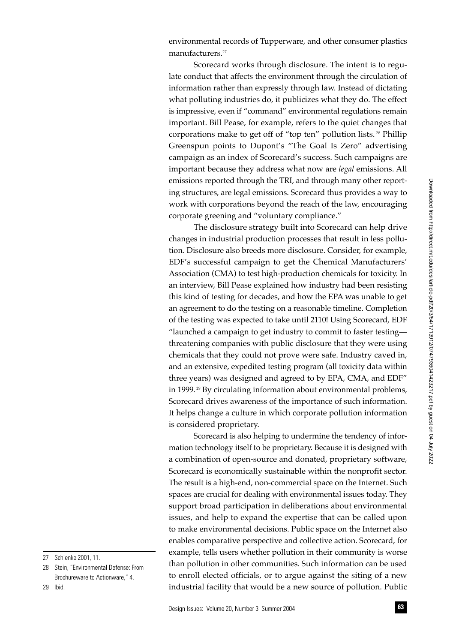environmental records of Tupperware, and other consumer plastics manufacturers.<sup>27</sup>

Scorecard works through disclosure. The intent is to regulate conduct that affects the environment through the circulation of information rather than expressly through law. Instead of dictating what polluting industries do, it publicizes what they do. The effect is impressive, even if "command" environmental regulations remain important. Bill Pease, for example, refers to the quiet changes that corporations make to get off of "top ten" pollution lists. 28 Phillip Greenspun points to Dupont's "The Goal Is Zero" advertising campaign as an index of Scorecard's success. Such campaigns are important because they address what now are *legal* emissions. All emissions reported through the TRI, and through many other reporting structures, are legal emissions. Scorecard thus provides a way to work with corporations beyond the reach of the law, encouraging corporate greening and "voluntary compliance."

The disclosure strategy built into Scorecard can help drive changes in industrial production processes that result in less pollution. Disclosure also breeds more disclosure. Consider, for example, EDF's successful campaign to get the Chemical Manufacturers' Association (CMA) to test high-production chemicals for toxicity. In an interview, Bill Pease explained how industry had been resisting this kind of testing for decades, and how the EPA was unable to get an agreement to do the testing on a reasonable timeline. Completion of the testing was expected to take until 2110! Using Scorecard, EDF "launched a campaign to get industry to commit to faster testing threatening companies with public disclosure that they were using chemicals that they could not prove were safe. Industry caved in, and an extensive, expedited testing program (all toxicity data within three years) was designed and agreed to by EPA, CMA, and EDF" in 1999. 29 By circulating information about environmental problems, Scorecard drives awareness of the importance of such information. It helps change a culture in which corporate pollution information is considered proprietary.

Scorecard is also helping to undermine the tendency of information technology itself to be proprietary. Because it is designed with a combination of open-source and donated, proprietary software, Scorecard is economically sustainable within the nonprofit sector. The result is a high-end, non-commercial space on the Internet. Such spaces are crucial for dealing with environmental issues today. They support broad participation in deliberations about environmental issues, and help to expand the expertise that can be called upon to make environmental decisions. Public space on the Internet also enables comparative perspective and collective action. Scorecard, for example, tells users whether pollution in their community is worse than pollution in other communities. Such information can be used to enroll elected officials, or to argue against the siting of a new industrial facility that would be a new source of pollution. Public

<sup>27</sup> Schienke 2001, 11.

<sup>28</sup> Stein, "Environmental Defense: From Brochureware to Actionware," 4.

<sup>29</sup> Ibid.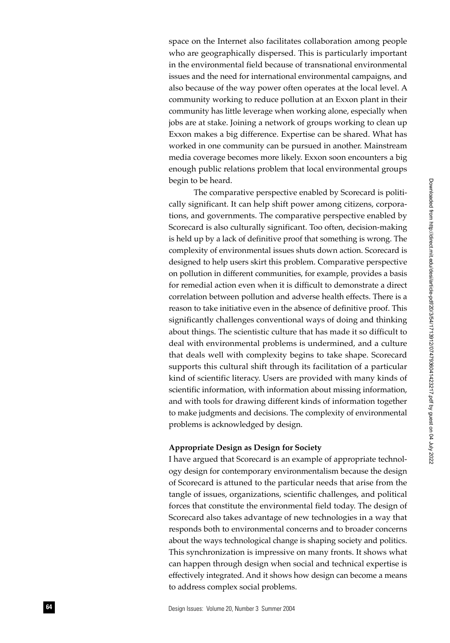space on the Internet also facilitates collaboration among people who are geographically dispersed. This is particularly important in the environmental field because of transnational environmental issues and the need for international environmental campaigns, and also because of the way power often operates at the local level. A community working to reduce pollution at an Exxon plant in their community has little leverage when working alone, especially when jobs are at stake. Joining a network of groups working to clean up Exxon makes a big difference. Expertise can be shared. What has worked in one community can be pursued in another. Mainstream media coverage becomes more likely. Exxon soon encounters a big enough public relations problem that local environmental groups begin to be heard.

The comparative perspective enabled by Scorecard is politically significant. It can help shift power among citizens, corporations, and governments. The comparative perspective enabled by Scorecard is also culturally significant. Too often, decision-making is held up by a lack of definitive proof that something is wrong. The complexity of environmental issues shuts down action. Scorecard is designed to help users skirt this problem. Comparative perspective on pollution in different communities, for example, provides a basis for remedial action even when it is difficult to demonstrate a direct correlation between pollution and adverse health effects. There is a reason to take initiative even in the absence of definitive proof. This significantly challenges conventional ways of doing and thinking about things. The scientistic culture that has made it so difficult to deal with environmental problems is undermined, and a culture that deals well with complexity begins to take shape. Scorecard supports this cultural shift through its facilitation of a particular kind of scientific literacy. Users are provided with many kinds of scientific information, with information about missing information, and with tools for drawing different kinds of information together to make judgments and decisions. The complexity of environmental problems is acknowledged by design.

### **Appropriate Design as Design for Society**

I have argued that Scorecard is an example of appropriate technology design for contemporary environmentalism because the design of Scorecard is attuned to the particular needs that arise from the tangle of issues, organizations, scientific challenges, and political forces that constitute the environmental field today. The design of Scorecard also takes advantage of new technologies in a way that responds both to environmental concerns and to broader concerns about the ways technological change is shaping society and politics. This synchronization is impressive on many fronts. It shows what can happen through design when social and technical expertise is effectively integrated. And it shows how design can become a means to address complex social problems.